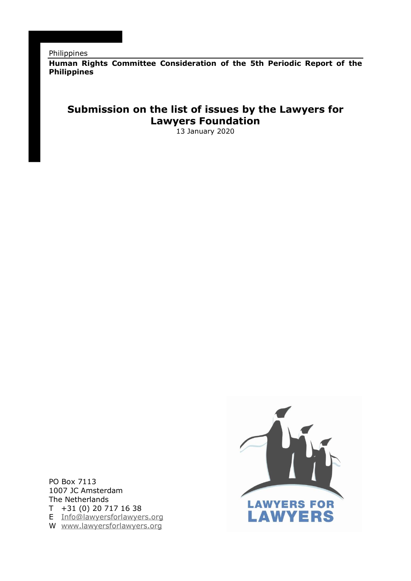Philippines

PO Box 7113

The Netherlands

**Human Rights Committee Consideration of the 5th Periodic Report of the Philippines** 

# **Submission on the list of issues by the Lawyers for Lawyers Foundation**

13 January 2020



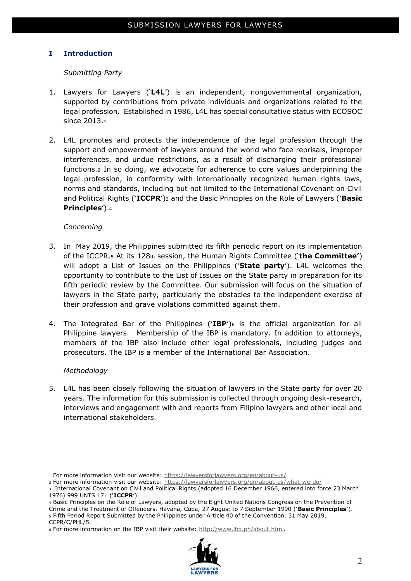# **I Introduction**

#### *Submitting Party*

- 1. Lawyers for Lawyers ('**L4L**') is an independent, nongovernmental organization, supported by contributions from private individuals and organizations related to the legal profession. Established in 1986, L4L has special consultative status with ECOSOC since 2013.<sup>1</sup>
- 2. L4L promotes and protects the independence of the legal profession through the support and empowerment of lawyers around the world who face reprisals, improper interferences, and undue restrictions, as a result of discharging their professional functions.<sup>2</sup> In so doing, we advocate for adherence to core values underpinning the legal profession, in conformity with internationally recognized human rights laws, norms and standards, including but not limited to the International Covenant on Civil and Political Rights ('**ICCPR**')<sup>3</sup> and the Basic Principles on the Role of Lawyers ('**Basic Principles**').<sup>4</sup>

#### *Concerning*

- 3. In May 2019, the Philippines submitted its fifth periodic report on its implementation of the ICCPR.<sup>5</sup> At its 128th session, the Human Rights Committee ('**the Committee'**) will adopt a List of Issues on the Philippines ('**State party**'). L4L welcomes the opportunity to contribute to the List of Issues on the State party in preparation for its fifth periodic review by the Committee. Our submission will focus on the situation of lawyers in the State party, particularly the obstacles to the independent exercise of their profession and grave violations committed against them.
- 4. The Integrated Bar of the Philippines ('**IBP**')<sup>6</sup> is the official organization for all Philippine lawyers. Membership of the IBP is mandatory. In addition to attorneys, members of the IBP also include other legal professionals, including judges and prosecutors. The IBP is a member of the International Bar Association.

#### *Methodology*

5. L4L has been closely following the situation of lawyers in the State party for over 20 years. The information for this submission is collected through ongoing desk-research, interviews and engagement with and reports from Filipino lawyers and other local and international stakeholders.

<sup>2</sup> For more information visit our website:<https://lawyersforlawyers.org/en/about-us/what-we-do/>

<sup>6</sup> For more information on the IBP visit their website: [http://www.ibp.ph/about.html.](http://www.ibp.ph/about.html)



<sup>1</sup> For more information visit our website:<https://lawyersforlawyers.org/en/about-us/>

<sup>3</sup> International Covenant on Civil and Political Rights (adopted 16 December 1966, entered into force 23 March 1976) 999 UNTS 171 ('**ICCPR**').

<sup>4</sup> Basic Principles on the Role of Lawyers, adopted by the Eight United Nations Congress on the Prevention of Crime and the Treatment of Offenders, Havana, Cuba, 27 August to 7 September 1990 ('**Basic Principles'**). <sup>5</sup> Fifth Period Report Submitted by the Philippines under Article 40 of the Convention, 31 May 2019, CCPR/C/PHL/5.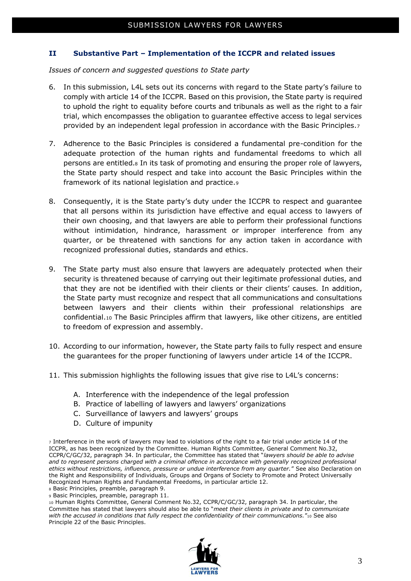#### **II Substantive Part – Implementation of the ICCPR and related issues**

*Issues of concern and suggested questions to State party*

- 6. In this submission, L4L sets out its concerns with regard to the State party's failure to comply with article 14 of the ICCPR. Based on this provision, the State party is required to uphold the right to equality before courts and tribunals as well as the right to a fair trial, which encompasses the obligation to guarantee effective access to legal services provided by an independent legal profession in accordance with the Basic Principles.<sup>7</sup>
- 7. Adherence to the Basic Principles is considered a fundamental pre-condition for the adequate protection of the human rights and fundamental freedoms to which all persons are entitled.<sup>8</sup> In its task of promoting and ensuring the proper role of lawyers, the State party should respect and take into account the Basic Principles within the framework of its national legislation and practice.<sup>9</sup>
- 8. Consequently, it is the State party's duty under the ICCPR to respect and guarantee that all persons within its jurisdiction have effective and equal access to lawyers of their own choosing, and that lawyers are able to perform their professional functions without intimidation, hindrance, harassment or improper interference from any quarter, or be threatened with sanctions for any action taken in accordance with recognized professional duties, standards and ethics.
- 9. The State party must also ensure that lawyers are adequately protected when their security is threatened because of carrying out their legitimate professional duties, and that they are not be identified with their clients or their clients' causes. In addition, the State party must recognize and respect that all communications and consultations between lawyers and their clients within their professional relationships are confidential.<sup>10</sup> The Basic Principles affirm that lawyers, like other citizens, are entitled to freedom of expression and assembly.
- 10. According to our information, however, the State party fails to fully respect and ensure the guarantees for the proper functioning of lawyers under article 14 of the ICCPR.
- 11. This submission highlights the following issues that give rise to L4L's concerns:
	- A. Interference with the independence of the legal profession
	- B. Practice of labelling of lawyers and lawyers' organizations
	- C. Surveillance of lawyers and lawyers' groups
	- D. Culture of impunity

<sup>10</sup> Human Rights Committee, General Comment No.32, CCPR/C/GC/32, paragraph 34. In particular, the Committee has stated that lawyers should also be able to "*meet their clients in private and to communicate with the accused in conditions that fully respect the confidentiality of their communications.*"<sup>10</sup> See also Principle 22 of the Basic Principles.



<sup>7</sup> Interference in the work of lawyers may lead to violations of the right to a fair trial under article 14 of the ICCPR, as has been recognized by the Committee. Human Rights Committee, General Comment No.32, CCPR/C/GC/32, paragraph 34. In particular, the Committee has stated that "*lawyers should be able to advise*  and to represent persons charged with a criminal offence in accordance with generally recognized professional *ethics without restrictions, influence, pressure or undue interference from any quarter.*" See also Declaration on the Right and Responsibility of Individuals, Groups and Organs of Society to Promote and Protect Universally Recognized Human Rights and Fundamental Freedoms, in particular article 12.

<sup>8</sup> Basic Principles, preamble, paragraph 9.

<sup>9</sup> Basic Principles, preamble, paragraph 11.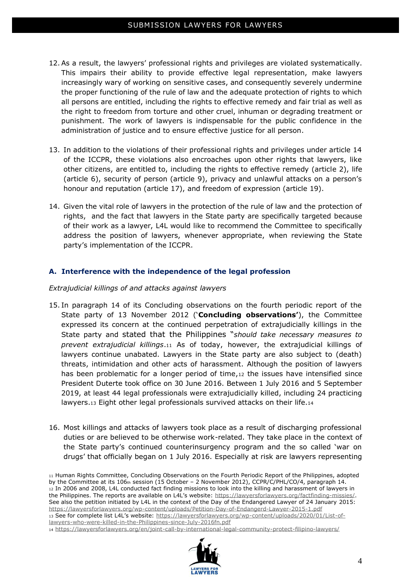- 12. As a result, the lawyers' professional rights and privileges are violated systematically. This impairs their ability to provide effective legal representation, make lawyers increasingly wary of working on sensitive cases, and consequently severely undermine the proper functioning of the rule of law and the adequate protection of rights to which all persons are entitled, including the rights to effective remedy and fair trial as well as the right to freedom from torture and other cruel, inhuman or degrading treatment or punishment. The work of lawyers is indispensable for the public confidence in the administration of justice and to ensure effective justice for all person.
- 13. In addition to the violations of their professional rights and privileges under article 14 of the ICCPR, these violations also encroaches upon other rights that lawyers, like other citizens, are entitled to, including the rights to effective remedy (article 2), life (article 6), security of person (article 9), privacy and unlawful attacks on a person's honour and reputation (article 17), and freedom of expression (article 19).
- 14. Given the vital role of lawyers in the protection of the rule of law and the protection of rights, and the fact that lawyers in the State party are specifically targeted because of their work as a lawyer, L4L would like to recommend the Committee to specifically address the position of lawyers, whenever appropriate, when reviewing the State party's implementation of the ICCPR.

# **A. Interference with the independence of the legal profession**

#### *Extrajudicial killings of and attacks against lawyers*

- 15. In paragraph 14 of its Concluding observations on the fourth periodic report of the State party of 13 November 2012 ('**Concluding observations'**), the Committee expressed its concern at the continued perpetration of extrajudicially killings in the State party and stated that the Philippines "*should take necessary measures to prevent extrajudicial killings*.<sup>11</sup> As of today, however, the extrajudicial killings of lawyers continue unabated. Lawyers in the State party are also subject to (death) threats, intimidation and other acts of harassment. Although the position of lawyers has been problematic for a longer period of time, $12$  the issues have intensified since President Duterte took office on 30 June 2016. Between 1 July 2016 and 5 September 2019, at least 44 legal professionals were extrajudicially killed, including 24 practicing lawyers.13 Eight other legal professionals survived attacks on their life.14
- 16. Most killings and attacks of lawyers took place as a result of discharging professional duties or are believed to be otherwise work-related. They take place in the context of the State party's continued counterinsurgency program and the so called 'war on drugs' that officially began on 1 July 2016. Especially at risk are lawyers representing

<sup>11</sup> Human Rights Committee, Concluding Observations on the Fourth Periodic Report of the Philippines, adopted by the Committee at its 106th session (15 October – 2 November 2012), CCPR/C/PHL/CO/4, paragraph 14. <sup>12</sup> In 2006 and 2008, L4L conducted fact finding missions to look into the killing and harassment of lawyers in the Philippines. The reports are available on L4L's website: [https://lawyersforlawyers.org/factfinding-missies/.](https://lawyersforlawyers.org/factfinding-missies/) See also the petition initiated by L4L in the context of the Day of the Endangered Lawyer of 24 January 2015: <https://lawyersforlawyers.org/wp-content/uploads/Petition-Day-of-Endangerd-Lawyer-2015-1.pdf> <sup>13</sup> See for complete list L4L's website: [https://lawyersforlawyers.org/wp-content/uploads/2020/01/List-of-](https://webmail.aova.nl/owa/redir.aspx?REF=lvo__5zMFd7LIlX0cIuRXNtOjazY5BM6HgTxKiY-3JFa49ZBaJjXCAFodHRwczovL2xhd3llcnNmb3JsYXd5ZXJzLm9yZy93cC1jb250ZW50L3VwbG9hZHMvMjAyMC8wMS9MaXN0LW9mLWxhd3llcnMtd2hvLXdlcmUta2lsbGVkLWluLXRoZS1QaGlsaXBwaW5lcy1zaW5jZS1KdWx5LTIwMTZmbi5wZGY.)

[lawyers-who-were-killed-in-the-Philippines-since-July-2016fn.pdf](https://webmail.aova.nl/owa/redir.aspx?REF=lvo__5zMFd7LIlX0cIuRXNtOjazY5BM6HgTxKiY-3JFa49ZBaJjXCAFodHRwczovL2xhd3llcnNmb3JsYXd5ZXJzLm9yZy93cC1jb250ZW50L3VwbG9hZHMvMjAyMC8wMS9MaXN0LW9mLWxhd3llcnMtd2hvLXdlcmUta2lsbGVkLWluLXRoZS1QaGlsaXBwaW5lcy1zaW5jZS1KdWx5LTIwMTZmbi5wZGY.) <sup>14</sup> <https://lawyersforlawyers.org/en/joint-call-by-international-legal-community-protect-filipino-lawyers/>

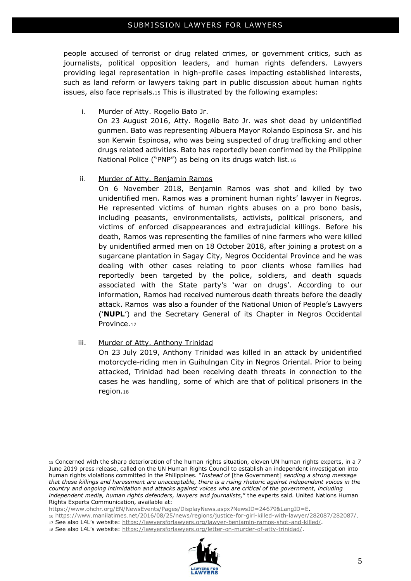# SUBMISSION LAWYERS FOR LAWYERS

people accused of terrorist or drug related crimes, or government critics, such as journalists, political opposition leaders, and human rights defenders. Lawyers providing legal representation in high-profile cases impacting established interests, such as land reform or lawyers taking part in public discussion about human rights issues, also face reprisals.<sup>15</sup> This is illustrated by the following examples:

i. Murder of Atty. Rogelio Bato Jr.

On 23 August 2016, Atty. Rogelio Bato Jr. was shot dead by unidentified gunmen. Bato was representing Albuera Mayor Rolando Espinosa Sr. and his son Kerwin Espinosa, who was being suspected of drug trafficking and other drugs related activities. Bato has reportedly been confirmed by the Philippine National Police ("PNP") as being on its drugs watch list.<sup>16</sup>

ii. Murder of Atty. Benjamin Ramos

On 6 November 2018, Benjamin Ramos was shot and killed by two unidentified men. Ramos was a prominent human rights' lawyer in Negros. He represented victims of human rights abuses on a pro bono basis, including peasants, environmentalists, activists, political prisoners, and victims of enforced disappearances and extrajudicial killings. Before his death, Ramos was representing the families of nine farmers who were killed by unidentified armed men on 18 October 2018, after joining a protest on a sugarcane plantation in Sagay City, Negros Occidental Province and he was dealing with other cases relating to poor clients whose families had reportedly been targeted by the police, soldiers, and death squads associated with the State party's 'war on drugs'. According to our information, Ramos had received numerous death threats before the deadly attack. Ramos was also a founder of the National Union of People's Lawyers ('**NUPL**') and the Secretary General of its Chapter in Negros Occidental Province.<sup>17</sup>

iii. Murder of Atty. Anthony Trinidad

On 23 July 2019, Anthony Trinidad was killed in an attack by unidentified motorcycle-riding men in Guihulngan City in Negros Oriental. Prior to being attacked, Trinidad had been receiving death threats in connection to the cases he was handling, some of which are that of political prisoners in the region.<sup>18</sup>

<sup>15</sup> Concerned with the sharp deterioration of the human rights situation, eleven UN human rights experts, in a 7 June 2019 press release, called on the UN Human Rights Council to establish an independent investigation into human rights violations committed in the Philippines. "*Instead of* [the Government] *sending a strong message that these killings and harassment are unacceptable, there is a rising rhetoric against independent voices in the country and ongoing intimidation and attacks against voices who are critical of the government, including independent media, human rights defenders, lawyers and journalists,*" the experts said. United Nations Human Rights Experts Communication, available at:

<sup>18</sup> See also L4L's website: [https://lawyersforlawyers.org/letter-on-murder-of-atty-trinidad/.](https://lawyersforlawyers.org/letter-on-murder-of-atty-trinidad/)



[https://www.ohchr.org/EN/NewsEvents/Pages/DisplayNews.aspx?NewsID=24679&LangID=E.](https://www.ohchr.org/EN/NewsEvents/Pages/DisplayNews.aspx?NewsID=24679&LangID=E)

<sup>16</sup> [https://www.manilatimes.net/2016/08/25/news/regions/justice-for-girl-killed-with-lawyer/282087/282087/.](https://www.manilatimes.net/2016/08/25/news/regions/justice-for-girl-killed-with-lawyer/282087/282087/)

<sup>17</sup> See also L4L's website: [https://lawyersforlawyers.org/lawyer-benjamin-ramos-shot-and-killed/.](https://lawyersforlawyers.org/lawyer-benjamin-ramos-shot-and-killed/)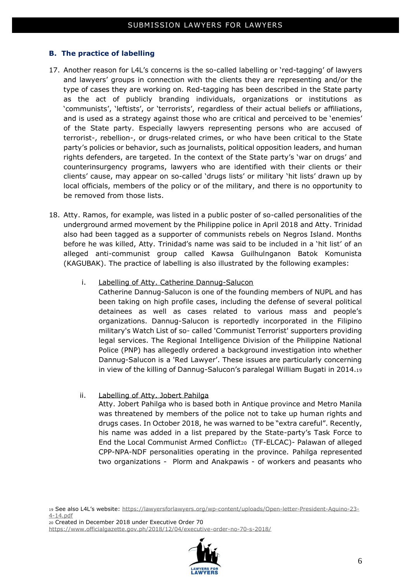#### **B. The practice of labelling**

- 17. Another reason for L4L's concerns is the so-called labelling or 'red-tagging' of lawyers and lawyers' groups in connection with the clients they are representing and/or the type of cases they are working on. Red-tagging has been described in the State party as the act of publicly branding individuals, organizations or institutions as 'communists', 'leftists', or 'terrorists', regardless of their actual beliefs or affiliations, and is used as a strategy against those who are critical and perceived to be 'enemies' of the State party. Especially lawyers representing persons who are accused of terrorist-, rebellion-, or drugs-related crimes, or who have been critical to the State party's policies or behavior, such as journalists, political opposition leaders, and human rights defenders, are targeted. In the context of the State party's 'war on drugs' and counterinsurgency programs, lawyers who are identified with their clients or their clients' cause, may appear on so-called 'drugs lists' or military 'hit lists' drawn up by local officials, members of the policy or of the military, and there is no opportunity to be removed from those lists.
- 18. Atty. Ramos, for example, was listed in a public poster of so-called personalities of the underground armed movement by the Philippine police in April 2018 and Atty. Trinidad also had been tagged as a supporter of communists rebels on Negros Island. Months before he was killed, Atty. Trinidad's name was said to be included in a 'hit list' of an alleged anti-communist group called Kawsa Guilhulnganon Batok Komunista (KAGUBAK). The practice of labelling is also illustrated by the following examples:
	- i. Labelling of Atty. Catherine Dannug-Salucon

Catherine Dannug-Salucon is one of the founding members of NUPL and has been taking on high profile cases, including the defense of several political detainees as well as cases related to various mass and people's organizations. Dannug-Salucon is reportedly incorporated in the Filipino military's Watch List of so- called 'Communist Terrorist' supporters providing legal services. The Regional Intelligence Division of the Philippine National Police (PNP) has allegedly ordered a background investigation into whether Dannug-Salucon is a 'Red Lawyer'. These issues are particularly concerning in view of the killing of Dannug-Salucon's paralegal William Bugati in 2014.<sup>19</sup>

ii. Labelling of Atty. Jobert Pahilga

Atty. Jobert Pahilga who is based both in Antique province and Metro Manila was threatened by members of the police not to take up human rights and drugs cases. In October 2018, he was warned to be "extra careful". Recently, his name was added in a list prepared by the State-party's Task Force to End the Local Communist Armed Conflict<sup>20</sup> (TF-ELCAC)- Palawan of alleged CPP-NPA-NDF personalities operating in the province. Pahilga represented two organizations - Plorm and Anakpawis - of workers and peasants who

<sup>19</sup> See also L4L's website: [https://lawyersforlawyers.org/wp-content/uploads/Open-letter-President-Aquino-23-](https://lawyersforlawyers.org/wp-content/uploads/Open-letter-President-Aquino-23-4-14.pdf) [4-14.pdf](https://lawyersforlawyers.org/wp-content/uploads/Open-letter-President-Aquino-23-4-14.pdf)

<sup>20</sup> Created in December 2018 under Executive Order 70 <https://www.officialgazette.gov.ph/2018/12/04/executive-order-no-70-s-2018/>

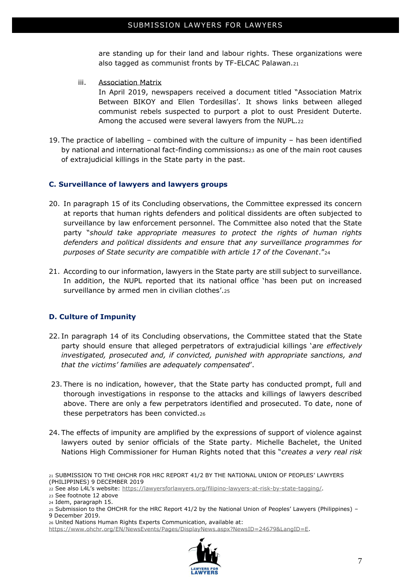are standing up for their land and labour rights. These organizations were also tagged as communist fronts by TF-ELCAC Palawan.<sup>21</sup>

- iii. Association Matrix In April 2019, newspapers received a document titled "Association Matrix Between BIKOY and Ellen Tordesillas'. It shows links between alleged communist rebels suspected to purport a plot to oust President Duterte. Among the accused were several lawyers from the NUPL.<sup>22</sup>
- 19. The practice of labelling combined with the culture of impunity has been identified by national and international fact-finding commissions<sub>23</sub> as one of the main root causes of extrajudicial killings in the State party in the past.

### **C. Surveillance of lawyers and lawyers groups**

- 20. In paragraph 15 of its Concluding observations, the Committee expressed its concern at reports that human rights defenders and political dissidents are often subjected to surveillance by law enforcement personnel. The Committee also noted that the State party "*should take appropriate measures to protect the rights of human rights defenders and political dissidents and ensure that any surveillance programmes for purposes of State security are compatible with article 17 of the Covenant*."<sup>24</sup>
- 21. According to our information, lawyers in the State party are still subject to surveillance. In addition, the NUPL reported that its national office 'has been put on increased surveillance by armed men in civilian clothes'.<sup>25</sup>

# **D. Culture of Impunity**

- 22. In paragraph 14 of its Concluding observations, the Committee stated that the State party should ensure that alleged perpetrators of extrajudicial killings '*are effectively investigated, prosecuted and, if convicted, punished with appropriate sanctions, and that the victims' families are adequately compensated*'.
- 23. There is no indication, however, that the State party has conducted prompt, full and thorough investigations in response to the attacks and killings of lawyers described above. There are only a few perpetrators identified and prosecuted. To date, none of these perpetrators has been convicted.<sup>26</sup>
- 24. The effects of impunity are amplified by the expressions of support of violence against lawyers outed by senior officials of the State party. Michelle Bachelet, the United Nations High Commissioner for Human Rights noted that this "*creates a very real risk*

<sup>21</sup> SUBMISSION TO THE OHCHR FOR HRC REPORT 41/2 BY THE NATIONAL UNION OF PEOPLES' LAWYERS (PHILIPPINES) 9 DECEMBER 2019

<sup>22</sup> See also L4L's website: [https://lawyersforlawyers.org/filipino-lawyers-at-risk-by-state-tagging/.](https://lawyersforlawyers.org/filipino-lawyers-at-risk-by-state-tagging/)

<sup>23</sup> See footnote 12 above

<sup>24</sup> Idem, paragraph 15.

<sup>25</sup> Submission to the OHCHR for the HRC Report 41/2 by the National Union of Peoples' Lawyers (Philippines) – 9 December 2019.

<sup>26</sup> United Nations Human Rights Experts Communication, available at: [https://www.ohchr.org/EN/NewsEvents/Pages/DisplayNews.aspx?NewsID=24679&LangID=E.](https://www.ohchr.org/EN/NewsEvents/Pages/DisplayNews.aspx?NewsID=24679&LangID=E)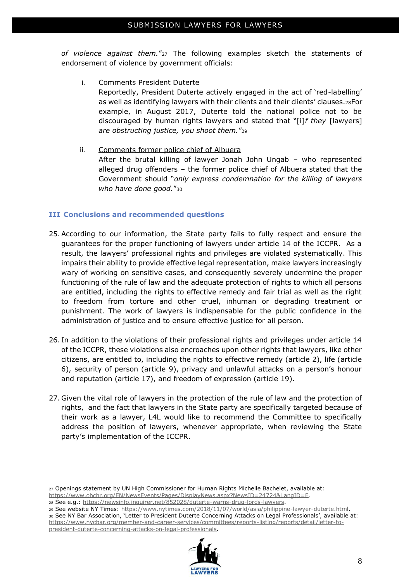*of violence against them.*"<sup>27</sup> The following examples sketch the statements of endorsement of violence by government officials:

i. Comments President Duterte

Reportedly, President Duterte actively engaged in the act of 'red-labelling' as well as identifying lawyers with their clients and their clients' clauses.28For example, in August 2017, Duterte told the national police not to be discouraged by human rights lawyers and stated that "[i]*f they* [lawyers] *are obstructing justice, you shoot them.*"<sup>29</sup>

ii. Comments former police chief of Albuera After the brutal killing of lawyer Jonah John Ungab – who represented alleged drug offenders – the former police chief of Albuera stated that the Government should "*only express condemnation for the killing of lawyers who have done good.*"<sup>30</sup>

#### **III Conclusions and recommended questions**

- 25. According to our information, the State party fails to fully respect and ensure the guarantees for the proper functioning of lawyers under article 14 of the ICCPR. As a result, the lawyers' professional rights and privileges are violated systematically. This impairs their ability to provide effective legal representation, make lawyers increasingly wary of working on sensitive cases, and consequently severely undermine the proper functioning of the rule of law and the adequate protection of rights to which all persons are entitled, including the rights to effective remedy and fair trial as well as the right to freedom from torture and other cruel, inhuman or degrading treatment or punishment. The work of lawyers is indispensable for the public confidence in the administration of justice and to ensure effective justice for all person.
- 26. In addition to the violations of their professional rights and privileges under article 14 of the ICCPR, these violations also encroaches upon other rights that lawyers, like other citizens, are entitled to, including the rights to effective remedy (article 2), life (article 6), security of person (article 9), privacy and unlawful attacks on a person's honour and reputation (article 17), and freedom of expression (article 19).
- 27. Given the vital role of lawyers in the protection of the rule of law and the protection of rights, and the fact that lawyers in the State party are specifically targeted because of their work as a lawyer, L4L would like to recommend the Committee to specifically address the position of lawyers, whenever appropriate, when reviewing the State party's implementation of the ICCPR.

<sup>30</sup> See NY Bar Association, 'Letter to President Duterte Concerning Attacks on Legal Professionals', available at:

[https://www.nycbar.org/member-and-career-services/committees/reports-listing/reports/detail/letter-to](https://www.nycbar.org/member-and-career-services/committees/reports-listing/reports/detail/letter-to-president-duterte-concerning-attacks-on-legal-professionals)[president-duterte-concerning-attacks-on-legal-professionals.](https://www.nycbar.org/member-and-career-services/committees/reports-listing/reports/detail/letter-to-president-duterte-concerning-attacks-on-legal-professionals)



<sup>27</sup> Openings statement by UN High Commissioner for Human Rights Michelle Bachelet, available at:

[https://www.ohchr.org/EN/NewsEvents/Pages/DisplayNews.aspx?NewsID=24724&LangID=E.](https://www.ohchr.org/EN/NewsEvents/Pages/DisplayNews.aspx?NewsID=24724&LangID=E) <sup>28</sup> See e.g.: [https://newsinfo.inquirer.net/852028/duterte-warns-drug-lords-lawyers.](https://newsinfo.inquirer.net/852028/duterte-warns-drug-lords-lawyers)

<sup>29</sup> See website NY Times: [https://www.nytimes.com/2018/11/07/world/asia/philippine-lawyer-duterte.html.](https://www.nytimes.com/2018/11/07/world/asia/philippine-lawyer-duterte.html)